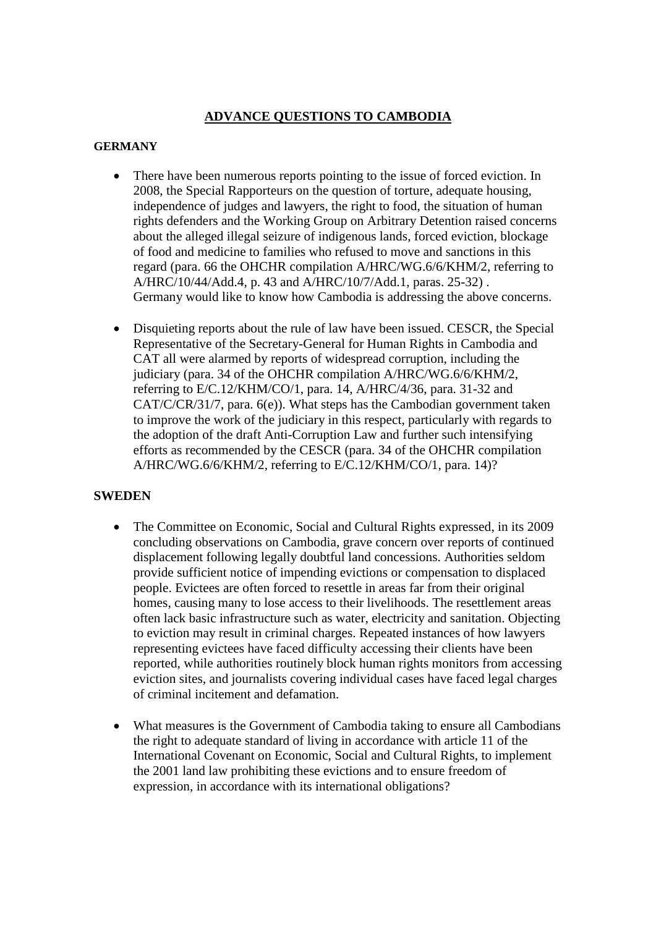## **ADVANCE QUESTIONS TO CAMBODIA**

## **GERMANY**

- There have been numerous reports pointing to the issue of forced eviction. In 2008, the Special Rapporteurs on the question of torture, adequate housing, independence of judges and lawyers, the right to food, the situation of human rights defenders and the Working Group on Arbitrary Detention raised concerns about the alleged illegal seizure of indigenous lands, forced eviction, blockage of food and medicine to families who refused to move and sanctions in this regard (para. 66 the OHCHR compilation A/HRC/WG.6/6/KHM/2, referring to A/HRC/10/44/Add.4, p. 43 and A/HRC/10/7/Add.1, paras. 25-32) . Germany would like to know how Cambodia is addressing the above concerns.
- Disquieting reports about the rule of law have been issued. CESCR, the Special Representative of the Secretary-General for Human Rights in Cambodia and CAT all were alarmed by reports of widespread corruption, including the judiciary (para. 34 of the OHCHR compilation A/HRC/WG.6/6/KHM/2, referring to E/C.12/KHM/CO/1, para. 14, A/HRC/4/36, para. 31-32 and CAT/C/CR/31/7, para. 6(e)). What steps has the Cambodian government taken to improve the work of the judiciary in this respect, particularly with regards to the adoption of the draft Anti-Corruption Law and further such intensifying efforts as recommended by the CESCR (para. 34 of the OHCHR compilation A/HRC/WG.6/6/KHM/2, referring to E/C.12/KHM/CO/1, para. 14)?

## **SWEDEN**

- The Committee on Economic, Social and Cultural Rights expressed, in its 2009 concluding observations on Cambodia, grave concern over reports of continued displacement following legally doubtful land concessions. Authorities seldom provide sufficient notice of impending evictions or compensation to displaced people. Evictees are often forced to resettle in areas far from their original homes, causing many to lose access to their livelihoods. The resettlement areas often lack basic infrastructure such as water, electricity and sanitation. Objecting to eviction may result in criminal charges. Repeated instances of how lawyers representing evictees have faced difficulty accessing their clients have been reported, while authorities routinely block human rights monitors from accessing eviction sites, and journalists covering individual cases have faced legal charges of criminal incitement and defamation.
- What measures is the Government of Cambodia taking to ensure all Cambodians the right to adequate standard of living in accordance with article 11 of the International Covenant on Economic, Social and Cultural Rights, to implement the 2001 land law prohibiting these evictions and to ensure freedom of expression, in accordance with its international obligations?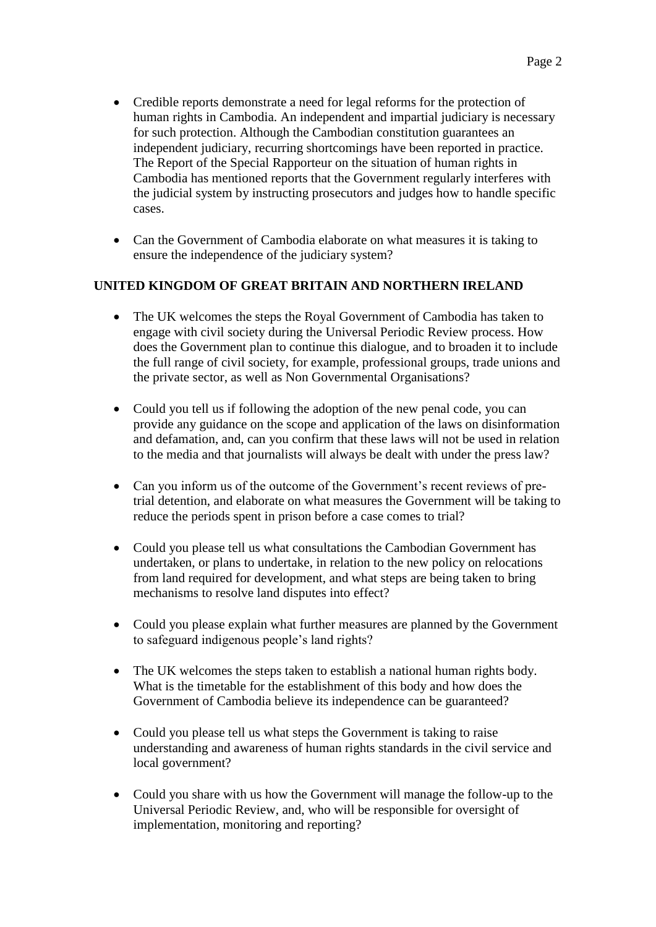- Credible reports demonstrate a need for legal reforms for the protection of human rights in Cambodia. An independent and impartial judiciary is necessary for such protection. Although the Cambodian constitution guarantees an independent judiciary, recurring shortcomings have been reported in practice. The Report of the Special Rapporteur on the situation of human rights in Cambodia has mentioned reports that the Government regularly interferes with the judicial system by instructing prosecutors and judges how to handle specific cases.
- Can the Government of Cambodia elaborate on what measures it is taking to ensure the independence of the judiciary system?

## **UNITED KINGDOM OF GREAT BRITAIN AND NORTHERN IRELAND**

- The UK welcomes the steps the Royal Government of Cambodia has taken to engage with civil society during the Universal Periodic Review process. How does the Government plan to continue this dialogue, and to broaden it to include the full range of civil society, for example, professional groups, trade unions and the private sector, as well as Non Governmental Organisations?
- Could you tell us if following the adoption of the new penal code, you can provide any guidance on the scope and application of the laws on disinformation and defamation, and, can you confirm that these laws will not be used in relation to the media and that journalists will always be dealt with under the press law?
- Can you inform us of the outcome of the Government's recent reviews of pretrial detention, and elaborate on what measures the Government will be taking to reduce the periods spent in prison before a case comes to trial?
- Could you please tell us what consultations the Cambodian Government has undertaken, or plans to undertake, in relation to the new policy on relocations from land required for development, and what steps are being taken to bring mechanisms to resolve land disputes into effect?
- Could you please explain what further measures are planned by the Government to safeguard indigenous people's land rights?
- The UK welcomes the steps taken to establish a national human rights body. What is the timetable for the establishment of this body and how does the Government of Cambodia believe its independence can be guaranteed?
- Could you please tell us what steps the Government is taking to raise understanding and awareness of human rights standards in the civil service and local government?
- Could you share with us how the Government will manage the follow-up to the Universal Periodic Review, and, who will be responsible for oversight of implementation, monitoring and reporting?